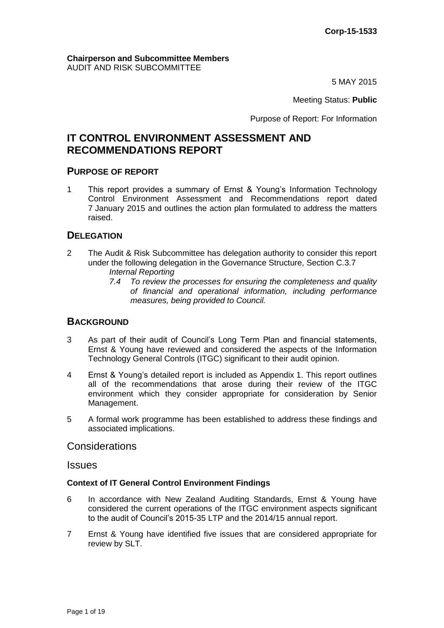#### **Chairperson and Subcommittee Members** AUDIT AND RISK SUBCOMMITTEE

5 MAY 2015

Meeting Status: **Public**

Purpose of Report: For Information

# **IT CONTROL ENVIRONMENT ASSESSMENT AND RECOMMENDATIONS REPORT**

### **PURPOSE OF REPORT**

1 This report provides a summary of Ernst & Young's Information Technology Control Environment Assessment and Recommendations report dated 7 January 2015 and outlines the action plan formulated to address the matters raised.

# **DELEGATION**

- 2 The Audit & Risk Subcommittee has delegation authority to consider this report under the following delegation in the Governance Structure, Section C.3.7 *Internal Reporting* 
	- *7.4 To review the processes for ensuring the completeness and quality of financial and operational information, including performance measures, being provided to Council.*

## **BACKGROUND**

- 3 As part of their audit of Council's Long Term Plan and financial statements, Ernst & Young have reviewed and considered the aspects of the Information Technology General Controls (ITGC) significant to their audit opinion.
- 4 Ernst & Young's detailed report is included as Appendix 1. This report outlines all of the recommendations that arose during their review of the ITGC environment which they consider appropriate for consideration by Senior Management.
- 5 A formal work programme has been established to address these findings and associated implications.

## Considerations

### **Issues**

### **Context of IT General Control Environment Findings**

- 6 In accordance with New Zealand Auditing Standards, Ernst & Young have considered the current operations of the ITGC environment aspects significant to the audit of Council's 2015-35 LTP and the 2014/15 annual report.
- 7 Ernst & Young have identified five issues that are considered appropriate for review by SLT.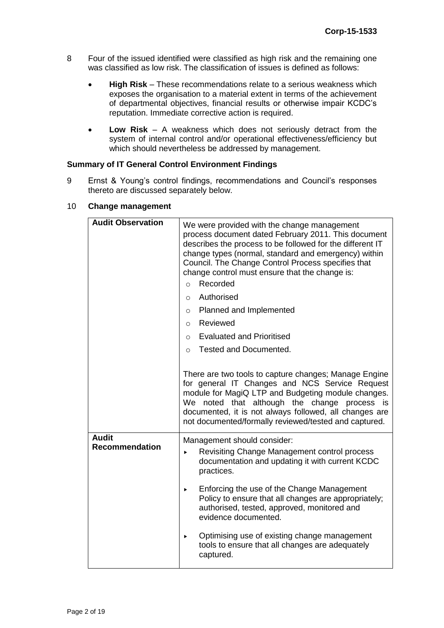- 8 Four of the issued identified were classified as high risk and the remaining one was classified as low risk. The classification of issues is defined as follows:
	- **High Risk** These recommendations relate to a serious weakness which exposes the organisation to a material extent in terms of the achievement of departmental objectives, financial results or otherwise impair KCDC's reputation. Immediate corrective action is required.
	- **Low Risk** A weakness which does not seriously detract from the system of internal control and/or operational effectiveness/efficiency but which should nevertheless be addressed by management.

### **Summary of IT General Control Environment Findings**

9 Ernst & Young's control findings, recommendations and Council's responses thereto are discussed separately below.

| <b>Audit Observation</b>              | We were provided with the change management<br>process document dated February 2011. This document<br>describes the process to be followed for the different IT<br>change types (normal, standard and emergency) within<br>Council. The Change Control Process specifies that<br>change control must ensure that the change is:<br>Recorded<br>$\circ$<br>Authorised<br>$\circ$ |  |  |  |
|---------------------------------------|---------------------------------------------------------------------------------------------------------------------------------------------------------------------------------------------------------------------------------------------------------------------------------------------------------------------------------------------------------------------------------|--|--|--|
|                                       | Planned and Implemented<br>$\circ$                                                                                                                                                                                                                                                                                                                                              |  |  |  |
|                                       | Reviewed<br>$\circ$                                                                                                                                                                                                                                                                                                                                                             |  |  |  |
|                                       | <b>Evaluated and Prioritised</b><br>$\circ$                                                                                                                                                                                                                                                                                                                                     |  |  |  |
|                                       | Tested and Documented.<br>$\Omega$                                                                                                                                                                                                                                                                                                                                              |  |  |  |
|                                       | There are two tools to capture changes; Manage Engine<br>for general IT Changes and NCS Service Request<br>module for MagiQ LTP and Budgeting module changes.<br>We noted that although the change process is<br>documented, it is not always followed, all changes are<br>not documented/formally reviewed/tested and captured.                                                |  |  |  |
| <b>Audit</b><br><b>Recommendation</b> | Management should consider:<br>Revisiting Change Management control process<br>▶<br>documentation and updating it with current KCDC<br>practices.                                                                                                                                                                                                                               |  |  |  |
|                                       | Enforcing the use of the Change Management<br>▶<br>Policy to ensure that all changes are appropriately;<br>authorised, tested, approved, monitored and<br>evidence documented.                                                                                                                                                                                                  |  |  |  |
|                                       | Optimising use of existing change management<br>▶<br>tools to ensure that all changes are adequately<br>captured.                                                                                                                                                                                                                                                               |  |  |  |

#### 10 **Change management**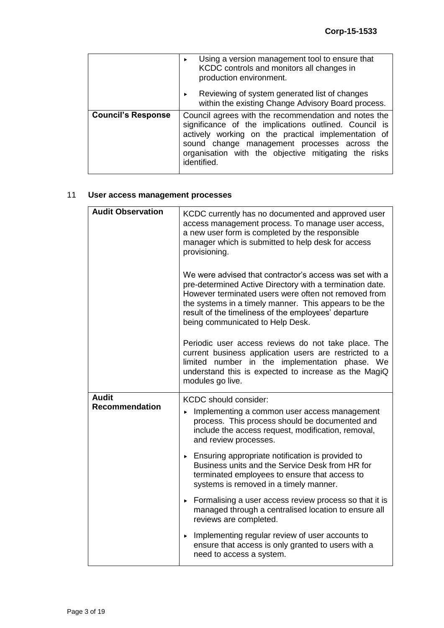|                           | Using a version management tool to ensure that<br>KCDC controls and monitors all changes in<br>production environment.                                                                                                                                                                      |  |  |
|---------------------------|---------------------------------------------------------------------------------------------------------------------------------------------------------------------------------------------------------------------------------------------------------------------------------------------|--|--|
|                           | Reviewing of system generated list of changes<br>within the existing Change Advisory Board process.                                                                                                                                                                                         |  |  |
| <b>Council's Response</b> | Council agrees with the recommendation and notes the<br>significance of the implications outlined. Council is<br>actively working on the practical implementation of<br>sound change management processes across the<br>organisation with the objective mitigating the risks<br>identified. |  |  |

# 11 **User access management processes**

| <b>Audit Observation</b> | KCDC currently has no documented and approved user<br>access management process. To manage user access,<br>a new user form is completed by the responsible<br>manager which is submitted to help desk for access<br>provisioning.                                                                                                 |  |  |  |
|--------------------------|-----------------------------------------------------------------------------------------------------------------------------------------------------------------------------------------------------------------------------------------------------------------------------------------------------------------------------------|--|--|--|
|                          | We were advised that contractor's access was set with a<br>pre-determined Active Directory with a termination date.<br>However terminated users were often not removed from<br>the systems in a timely manner. This appears to be the<br>result of the timeliness of the employees' departure<br>being communicated to Help Desk. |  |  |  |
|                          | Periodic user access reviews do not take place. The<br>current business application users are restricted to a<br>limited number in the implementation phase. We<br>understand this is expected to increase as the MagiQ<br>modules go live.                                                                                       |  |  |  |
| <b>Audit</b>             | <b>KCDC</b> should consider:                                                                                                                                                                                                                                                                                                      |  |  |  |
| <b>Recommendation</b>    | Implementing a common user access management<br>process. This process should be documented and<br>include the access request, modification, removal,<br>and review processes.                                                                                                                                                     |  |  |  |
|                          | Ensuring appropriate notification is provided to<br>Business units and the Service Desk from HR for<br>terminated employees to ensure that access to<br>systems is removed in a timely manner.                                                                                                                                    |  |  |  |
|                          | Formalising a user access review process so that it is<br>×<br>managed through a centralised location to ensure all<br>reviews are completed.                                                                                                                                                                                     |  |  |  |
|                          | Implementing regular review of user accounts to<br>×<br>ensure that access is only granted to users with a<br>need to access a system.                                                                                                                                                                                            |  |  |  |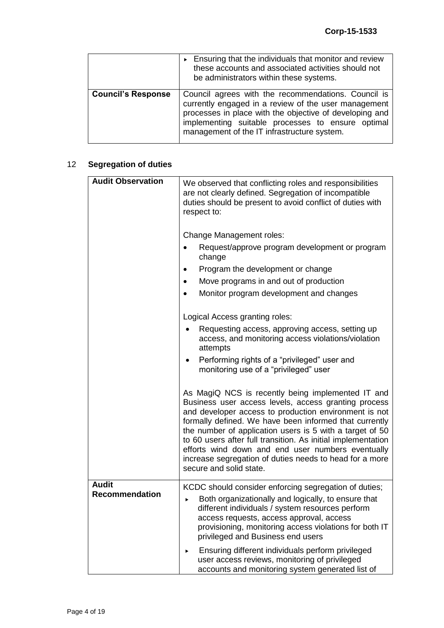|                           | Ensuring that the individuals that monitor and review<br>these accounts and associated activities should not<br>be administrators within these systems.                                                                                                                    |  |
|---------------------------|----------------------------------------------------------------------------------------------------------------------------------------------------------------------------------------------------------------------------------------------------------------------------|--|
| <b>Council's Response</b> | Council agrees with the recommendations. Council is<br>currently engaged in a review of the user management<br>processes in place with the objective of developing and<br>implementing suitable processes to ensure optimal<br>management of the IT infrastructure system. |  |

# 12 **Segregation of duties**

| <b>Audit Observation</b>              | We observed that conflicting roles and responsibilities<br>are not clearly defined. Segregation of incompatible                                                                                                                                                                                                                                                                                                                                                                                     |
|---------------------------------------|-----------------------------------------------------------------------------------------------------------------------------------------------------------------------------------------------------------------------------------------------------------------------------------------------------------------------------------------------------------------------------------------------------------------------------------------------------------------------------------------------------|
|                                       | duties should be present to avoid conflict of duties with<br>respect to:                                                                                                                                                                                                                                                                                                                                                                                                                            |
|                                       | Change Management roles:                                                                                                                                                                                                                                                                                                                                                                                                                                                                            |
|                                       | Request/approve program development or program<br>change                                                                                                                                                                                                                                                                                                                                                                                                                                            |
|                                       | Program the development or change                                                                                                                                                                                                                                                                                                                                                                                                                                                                   |
|                                       | Move programs in and out of production<br>$\bullet$                                                                                                                                                                                                                                                                                                                                                                                                                                                 |
|                                       | Monitor program development and changes<br>$\bullet$                                                                                                                                                                                                                                                                                                                                                                                                                                                |
|                                       | Logical Access granting roles:                                                                                                                                                                                                                                                                                                                                                                                                                                                                      |
|                                       | Requesting access, approving access, setting up<br>access, and monitoring access violations/violation<br>attempts                                                                                                                                                                                                                                                                                                                                                                                   |
|                                       | Performing rights of a "privileged" user and<br>monitoring use of a "privileged" user                                                                                                                                                                                                                                                                                                                                                                                                               |
|                                       | As MagiQ NCS is recently being implemented IT and<br>Business user access levels, access granting process<br>and developer access to production environment is not<br>formally defined. We have been informed that currently<br>the number of application users is 5 with a target of 50<br>to 60 users after full transition. As initial implementation<br>efforts wind down and end user numbers eventually<br>increase segregation of duties needs to head for a more<br>secure and solid state. |
| <b>Audit</b><br><b>Recommendation</b> | KCDC should consider enforcing segregation of duties;<br>Both organizationally and logically, to ensure that<br>▶<br>different individuals / system resources perform<br>access requests, access approval, access<br>provisioning, monitoring access violations for both IT<br>privileged and Business end users                                                                                                                                                                                    |
|                                       | Ensuring different individuals perform privileged<br>▶<br>user access reviews, monitoring of privileged<br>accounts and monitoring system generated list of                                                                                                                                                                                                                                                                                                                                         |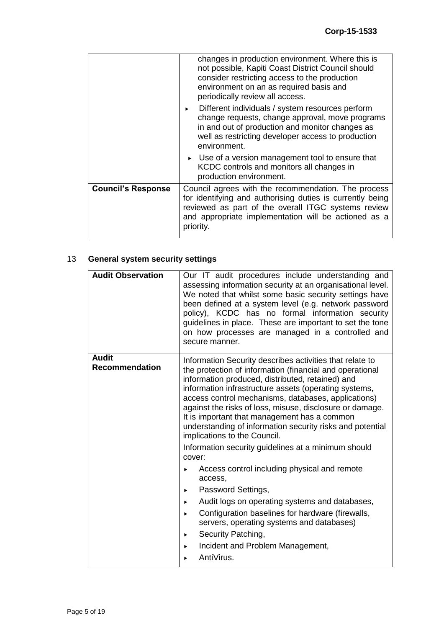|                           | changes in production environment. Where this is<br>not possible, Kapiti Coast District Council should<br>consider restricting access to the production<br>environment on an as required basis and<br>periodically review all access.<br>Different individuals / system resources perform<br>$\blacktriangleright$<br>change requests, change approval, move programs<br>in and out of production and monitor changes as<br>well as restricting developer access to production<br>environment.<br>► Use of a version management tool to ensure that<br>KCDC controls and monitors all changes in<br>production environment. |  |
|---------------------------|-----------------------------------------------------------------------------------------------------------------------------------------------------------------------------------------------------------------------------------------------------------------------------------------------------------------------------------------------------------------------------------------------------------------------------------------------------------------------------------------------------------------------------------------------------------------------------------------------------------------------------|--|
| <b>Council's Response</b> | Council agrees with the recommendation. The process<br>for identifying and authorising duties is currently being<br>reviewed as part of the overall ITGC systems review<br>and appropriate implementation will be actioned as a<br>priority.                                                                                                                                                                                                                                                                                                                                                                                |  |

# 13 **General system security settings**

| <b>Audit Observation</b>              | Our IT audit procedures include understanding and<br>assessing information security at an organisational level.<br>We noted that whilst some basic security settings have<br>been defined at a system level (e.g. network password<br>policy), KCDC has no formal information security<br>guidelines in place. These are important to set the tone<br>on how processes are managed in a controlled and<br>secure manner.                                                                                                                                           |  |
|---------------------------------------|--------------------------------------------------------------------------------------------------------------------------------------------------------------------------------------------------------------------------------------------------------------------------------------------------------------------------------------------------------------------------------------------------------------------------------------------------------------------------------------------------------------------------------------------------------------------|--|
| <b>Audit</b><br><b>Recommendation</b> | Information Security describes activities that relate to<br>the protection of information (financial and operational<br>information produced, distributed, retained) and<br>information infrastructure assets (operating systems,<br>access control mechanisms, databases, applications)<br>against the risks of loss, misuse, disclosure or damage.<br>It is important that management has a common<br>understanding of information security risks and potential<br>implications to the Council.<br>Information security guidelines at a minimum should<br>cover: |  |
|                                       | Access control including physical and remote<br>▶<br>access,<br>Password Settings,<br>▶<br>Audit logs on operating systems and databases,<br>▶<br>Configuration baselines for hardware (firewalls,<br>$\blacktriangleright$<br>servers, operating systems and databases)<br>Security Patching,<br>▶<br>Incident and Problem Management,<br>▶<br>AntiVirus.                                                                                                                                                                                                         |  |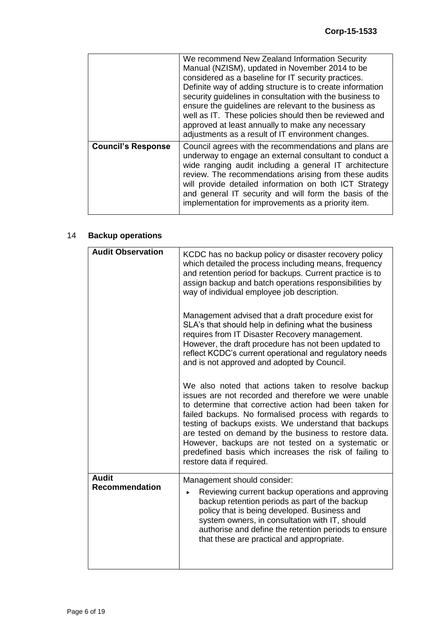|                           | We recommend New Zealand Information Security<br>Manual (NZISM), updated in November 2014 to be<br>considered as a baseline for IT security practices.<br>Definite way of adding structure is to create information<br>security guidelines in consultation with the business to<br>ensure the guidelines are relevant to the business as<br>well as IT. These policies should then be reviewed and<br>approved at least annually to make any necessary<br>adjustments as a result of IT environment changes. |
|---------------------------|--------------------------------------------------------------------------------------------------------------------------------------------------------------------------------------------------------------------------------------------------------------------------------------------------------------------------------------------------------------------------------------------------------------------------------------------------------------------------------------------------------------|
| <b>Council's Response</b> | Council agrees with the recommendations and plans are<br>underway to engage an external consultant to conduct a<br>wide ranging audit including a general IT architecture<br>review. The recommendations arising from these audits<br>will provide detailed information on both ICT Strategy<br>and general IT security and will form the basis of the<br>implementation for improvements as a priority item.                                                                                                |

# 14 **Backup operations**

| <b>Audit Observation</b>              | KCDC has no backup policy or disaster recovery policy<br>which detailed the process including means, frequency<br>and retention period for backups. Current practice is to<br>assign backup and batch operations responsibilities by<br>way of individual employee job description.                                                                                                                                                                                                           |  |  |  |
|---------------------------------------|-----------------------------------------------------------------------------------------------------------------------------------------------------------------------------------------------------------------------------------------------------------------------------------------------------------------------------------------------------------------------------------------------------------------------------------------------------------------------------------------------|--|--|--|
|                                       | Management advised that a draft procedure exist for<br>SLA's that should help in defining what the business<br>requires from IT Disaster Recovery management.<br>However, the draft procedure has not been updated to<br>reflect KCDC's current operational and regulatory needs<br>and is not approved and adopted by Council.                                                                                                                                                               |  |  |  |
|                                       | We also noted that actions taken to resolve backup<br>issues are not recorded and therefore we were unable<br>to determine that corrective action had been taken for<br>failed backups. No formalised process with regards to<br>testing of backups exists. We understand that backups<br>are tested on demand by the business to restore data.<br>However, backups are not tested on a systematic or<br>predefined basis which increases the risk of failing to<br>restore data if required. |  |  |  |
| <b>Audit</b><br><b>Recommendation</b> | Management should consider:<br>Reviewing current backup operations and approving<br>▶<br>backup retention periods as part of the backup<br>policy that is being developed. Business and<br>system owners, in consultation with IT, should<br>authorise and define the retention periods to ensure<br>that these are practical and appropriate.                                                                                                                                                |  |  |  |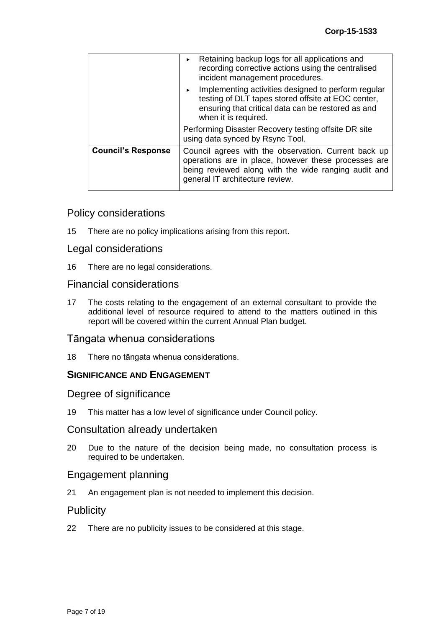|                           | Retaining backup logs for all applications and<br>recording corrective actions using the centralised<br>incident management procedures.                                                                 |  |  |
|---------------------------|---------------------------------------------------------------------------------------------------------------------------------------------------------------------------------------------------------|--|--|
|                           | Implementing activities designed to perform regular<br>testing of DLT tapes stored offsite at EOC center,<br>ensuring that critical data can be restored as and<br>when it is required.                 |  |  |
|                           | Performing Disaster Recovery testing offsite DR site<br>using data synced by Rsync Tool.                                                                                                                |  |  |
| <b>Council's Response</b> | Council agrees with the observation. Current back up<br>operations are in place, however these processes are<br>being reviewed along with the wide ranging audit and<br>general IT architecture review. |  |  |

# Policy considerations

15 There are no policy implications arising from this report.

### Legal considerations

16 There are no legal considerations.

# Financial considerations

17 The costs relating to the engagement of an external consultant to provide the additional level of resource required to attend to the matters outlined in this report will be covered within the current Annual Plan budget.

### Tāngata whenua considerations

18 There no tāngata whenua considerations.

### **SIGNIFICANCE AND ENGAGEMENT**

### Degree of significance

19 This matter has a low level of significance under Council policy.

### Consultation already undertaken

20 Due to the nature of the decision being made, no consultation process is required to be undertaken.

### Engagement planning

21 An engagement plan is not needed to implement this decision.

# **Publicity**

22 There are no publicity issues to be considered at this stage.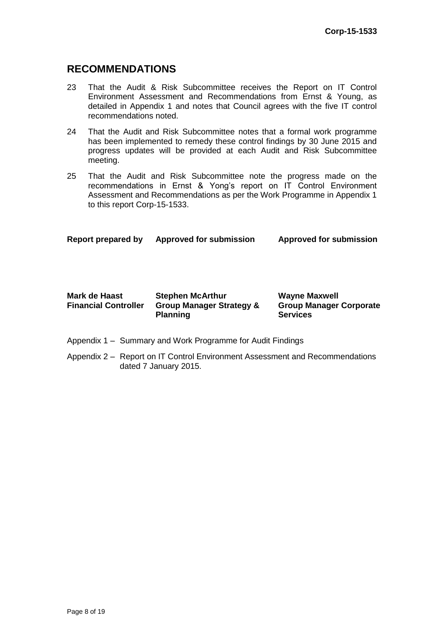# **RECOMMENDATIONS**

- 23 That the Audit & Risk Subcommittee receives the Report on IT Control Environment Assessment and Recommendations from Ernst & Young, as detailed in Appendix 1 and notes that Council agrees with the five IT control recommendations noted.
- 24 That the Audit and Risk Subcommittee notes that a formal work programme has been implemented to remedy these control findings by 30 June 2015 and progress updates will be provided at each Audit and Risk Subcommittee meeting.
- 25 That the Audit and Risk Subcommittee note the progress made on the recommendations in Ernst & Yong's report on IT Control Environment Assessment and Recommendations as per the Work Programme in Appendix 1 to this report Corp-15-1533.

**Report prepared by Approved for submission Approved for submission**

| Mark de Haast               | <b>Stephen McArthur</b>             | <b>Wayne Maxwell</b>           |
|-----------------------------|-------------------------------------|--------------------------------|
| <b>Financial Controller</b> | <b>Group Manager Strategy &amp;</b> | <b>Group Manager Corporate</b> |
|                             | <b>Planning</b>                     | <b>Services</b>                |

- Appendix 1 Summary and Work Programme for Audit Findings
- Appendix 2 Report on IT Control Environment Assessment and Recommendations dated 7 January 2015.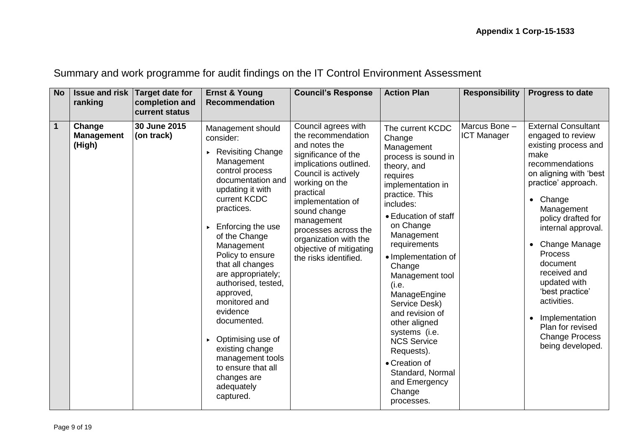|  | Summary and work programme for audit findings on the IT Control Environment Assessment |
|--|----------------------------------------------------------------------------------------|
|  |                                                                                        |

| <b>No</b>      | <b>Issue and risk</b><br>ranking      | Target date for<br>completion and<br>current status | <b>Ernst &amp; Young</b><br><b>Recommendation</b>                                                                                                                                                                                                                                                                                                                                                                                                                                           | <b>Council's Response</b>                                                                                                                                                                                                                                                                                                 | <b>Action Plan</b>                                                                                                                                                                                                                                                                                                                                                                                                                                                                     | <b>Responsibility</b>               | <b>Progress to date</b>                                                                                                                                                                                                                                                                                                                                                                                                             |
|----------------|---------------------------------------|-----------------------------------------------------|---------------------------------------------------------------------------------------------------------------------------------------------------------------------------------------------------------------------------------------------------------------------------------------------------------------------------------------------------------------------------------------------------------------------------------------------------------------------------------------------|---------------------------------------------------------------------------------------------------------------------------------------------------------------------------------------------------------------------------------------------------------------------------------------------------------------------------|----------------------------------------------------------------------------------------------------------------------------------------------------------------------------------------------------------------------------------------------------------------------------------------------------------------------------------------------------------------------------------------------------------------------------------------------------------------------------------------|-------------------------------------|-------------------------------------------------------------------------------------------------------------------------------------------------------------------------------------------------------------------------------------------------------------------------------------------------------------------------------------------------------------------------------------------------------------------------------------|
| $\overline{1}$ | Change<br><b>Management</b><br>(High) | 30 June 2015<br>(on track)                          | Management should<br>consider:<br>▶ Revisiting Change<br>Management<br>control process<br>documentation and<br>updating it with<br>current KCDC<br>practices.<br>Enforcing the use<br>of the Change<br>Management<br>Policy to ensure<br>that all changes<br>are appropriately;<br>authorised, tested,<br>approved,<br>monitored and<br>evidence<br>documented.<br>Optimising use of<br>existing change<br>management tools<br>to ensure that all<br>changes are<br>adequately<br>captured. | Council agrees with<br>the recommendation<br>and notes the<br>significance of the<br>implications outlined.<br>Council is actively<br>working on the<br>practical<br>implementation of<br>sound change<br>management<br>processes across the<br>organization with the<br>objective of mitigating<br>the risks identified. | The current KCDC<br>Change<br>Management<br>process is sound in<br>theory, and<br>requires<br>implementation in<br>practice. This<br>includes:<br>• Education of staff<br>on Change<br>Management<br>requirements<br>· Implementation of<br>Change<br>Management tool<br>(i.e.<br>ManageEngine<br>Service Desk)<br>and revision of<br>other aligned<br>systems (i.e.<br><b>NCS Service</b><br>Requests).<br>• Creation of<br>Standard, Normal<br>and Emergency<br>Change<br>processes. | Marcus Bone -<br><b>ICT Manager</b> | <b>External Consultant</b><br>engaged to review<br>existing process and<br>make<br>recommendations<br>on aligning with 'best<br>practice' approach.<br>• Change<br>Management<br>policy drafted for<br>internal approval.<br>Change Manage<br>Process<br>document<br>received and<br>updated with<br>'best practice'<br>activities.<br>Implementation<br>$\bullet$<br>Plan for revised<br><b>Change Process</b><br>being developed. |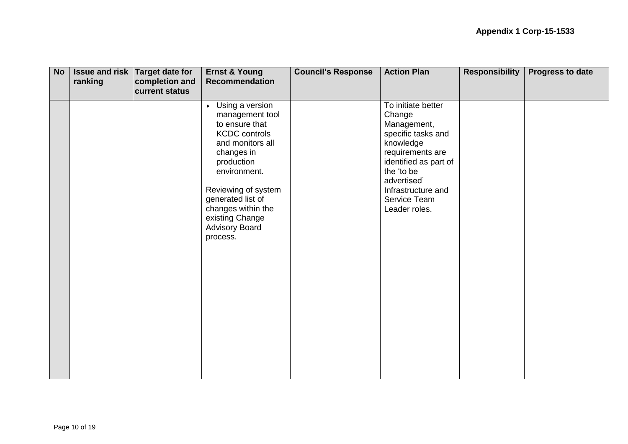| <b>No</b> | ranking | Issue and risk Target date for<br>completion and<br>current status | <b>Ernst &amp; Young</b><br><b>Recommendation</b>                                                                                                                                                                                                                                       | <b>Council's Response</b> | <b>Action Plan</b>                                                                                                                                                                                              | <b>Responsibility</b> | Progress to date |
|-----------|---------|--------------------------------------------------------------------|-----------------------------------------------------------------------------------------------------------------------------------------------------------------------------------------------------------------------------------------------------------------------------------------|---------------------------|-----------------------------------------------------------------------------------------------------------------------------------------------------------------------------------------------------------------|-----------------------|------------------|
|           |         |                                                                    | $\triangleright$ Using a version<br>management tool<br>to ensure that<br><b>KCDC</b> controls<br>and monitors all<br>changes in<br>production<br>environment.<br>Reviewing of system<br>generated list of<br>changes within the<br>existing Change<br><b>Advisory Board</b><br>process. |                           | To initiate better<br>Change<br>Management,<br>specific tasks and<br>knowledge<br>requirements are<br>identified as part of<br>the 'to be<br>advertised'<br>Infrastructure and<br>Service Team<br>Leader roles. |                       |                  |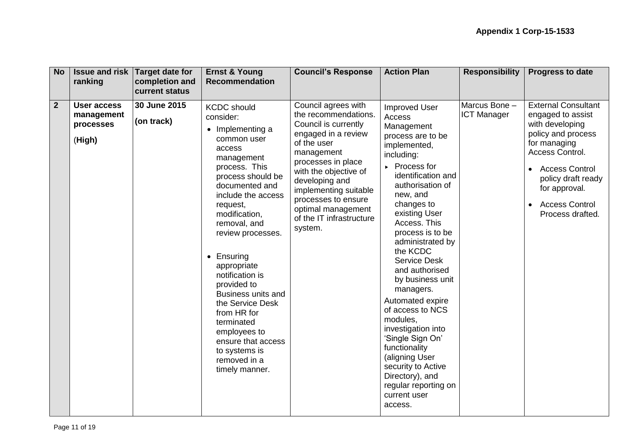| <b>No</b>      | ranking                                          | <b>Issue and risk Target date for</b><br>completion and<br>current status | <b>Ernst &amp; Young</b><br><b>Recommendation</b>                                                                                                                                                                                                                                                                                                                                                                                                                                | <b>Council's Response</b>                                                                                                                                                                                                                                                                             | <b>Action Plan</b>                                                                                                                                                                                                                                                                                                                                                                                                                                                                                                                                                               | <b>Responsibility</b>               | Progress to date                                                                                                                                                                                                                                                   |
|----------------|--------------------------------------------------|---------------------------------------------------------------------------|----------------------------------------------------------------------------------------------------------------------------------------------------------------------------------------------------------------------------------------------------------------------------------------------------------------------------------------------------------------------------------------------------------------------------------------------------------------------------------|-------------------------------------------------------------------------------------------------------------------------------------------------------------------------------------------------------------------------------------------------------------------------------------------------------|----------------------------------------------------------------------------------------------------------------------------------------------------------------------------------------------------------------------------------------------------------------------------------------------------------------------------------------------------------------------------------------------------------------------------------------------------------------------------------------------------------------------------------------------------------------------------------|-------------------------------------|--------------------------------------------------------------------------------------------------------------------------------------------------------------------------------------------------------------------------------------------------------------------|
| $\overline{2}$ | User access<br>management<br>processes<br>(High) | 30 June 2015<br>(on track)                                                | <b>KCDC</b> should<br>consider:<br>• Implementing a<br>common user<br>access<br>management<br>process. This<br>process should be<br>documented and<br>include the access<br>request,<br>modification,<br>removal, and<br>review processes.<br>• Ensuring<br>appropriate<br>notification is<br>provided to<br><b>Business units and</b><br>the Service Desk<br>from HR for<br>terminated<br>employees to<br>ensure that access<br>to systems is<br>removed in a<br>timely manner. | Council agrees with<br>the recommendations.<br>Council is currently<br>engaged in a review<br>of the user<br>management<br>processes in place<br>with the objective of<br>developing and<br>implementing suitable<br>processes to ensure<br>optimal management<br>of the IT infrastructure<br>system. | <b>Improved User</b><br>Access<br>Management<br>process are to be<br>implemented,<br>including:<br>▶ Process for<br>identification and<br>authorisation of<br>new, and<br>changes to<br>existing User<br>Access. This<br>process is to be<br>administrated by<br>the KCDC<br><b>Service Desk</b><br>and authorised<br>by business unit<br>managers.<br>Automated expire<br>of access to NCS<br>modules,<br>investigation into<br>'Single Sign On'<br>functionality<br>(aligning User<br>security to Active<br>Directory), and<br>regular reporting on<br>current user<br>access. | Marcus Bone -<br><b>ICT Manager</b> | <b>External Consultant</b><br>engaged to assist<br>with developing<br>policy and process<br>for managing<br>Access Control.<br><b>Access Control</b><br>$\bullet$<br>policy draft ready<br>for approval.<br><b>Access Control</b><br>$\bullet$<br>Process drafted. |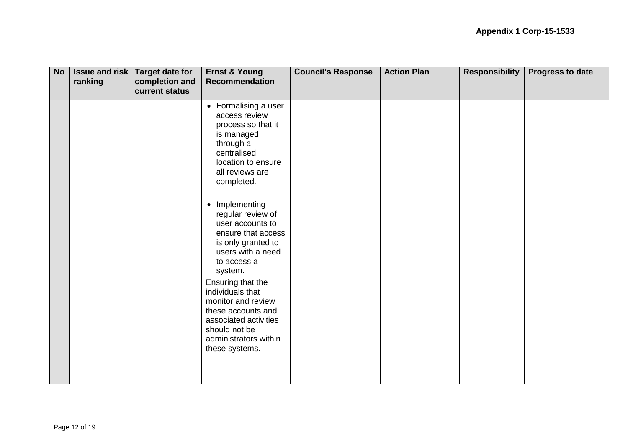| <b>No</b> | ranking | <b>Issue and risk Target date for</b><br>completion and<br>current status | <b>Ernst &amp; Young</b><br><b>Recommendation</b>                                                                                                                                                                                                                                                                                                                                                                                                 | <b>Council's Response</b> | <b>Action Plan</b> | <b>Responsibility</b> | <b>Progress to date</b> |
|-----------|---------|---------------------------------------------------------------------------|---------------------------------------------------------------------------------------------------------------------------------------------------------------------------------------------------------------------------------------------------------------------------------------------------------------------------------------------------------------------------------------------------------------------------------------------------|---------------------------|--------------------|-----------------------|-------------------------|
|           |         |                                                                           | • Formalising a user<br>access review<br>process so that it<br>is managed<br>through a<br>centralised<br>location to ensure<br>all reviews are<br>completed.<br>• Implementing<br>regular review of<br>user accounts to<br>ensure that access<br>is only granted to<br>users with a need<br>to access a<br>system.<br>Ensuring that the<br>individuals that<br>monitor and review<br>these accounts and<br>associated activities<br>should not be |                           |                    |                       |                         |
|           |         |                                                                           | administrators within<br>these systems.                                                                                                                                                                                                                                                                                                                                                                                                           |                           |                    |                       |                         |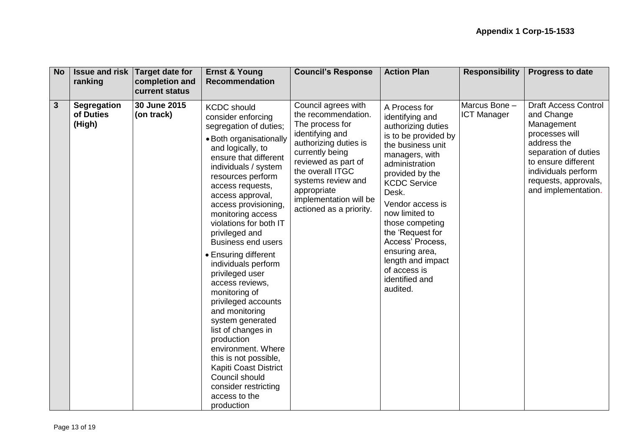| <b>No</b> | ranking             | <b>Issue and risk Target date for</b><br>completion and | <b>Ernst &amp; Young</b><br><b>Recommendation</b>                                                                                                                                                                                                                                                                                                                                                                                                                                                                                                                                                                                                                                                                     | <b>Council's Response</b>                                                                                                                                                                                                                  | <b>Action Plan</b>                                                                                                                                                                                                                                                                                                                                                               | <b>Responsibility</b> | <b>Progress to date</b>                                                                                                                                                        |
|-----------|---------------------|---------------------------------------------------------|-----------------------------------------------------------------------------------------------------------------------------------------------------------------------------------------------------------------------------------------------------------------------------------------------------------------------------------------------------------------------------------------------------------------------------------------------------------------------------------------------------------------------------------------------------------------------------------------------------------------------------------------------------------------------------------------------------------------------|--------------------------------------------------------------------------------------------------------------------------------------------------------------------------------------------------------------------------------------------|----------------------------------------------------------------------------------------------------------------------------------------------------------------------------------------------------------------------------------------------------------------------------------------------------------------------------------------------------------------------------------|-----------------------|--------------------------------------------------------------------------------------------------------------------------------------------------------------------------------|
| 3         | <b>Segregation</b>  | current status<br>30 June 2015                          |                                                                                                                                                                                                                                                                                                                                                                                                                                                                                                                                                                                                                                                                                                                       | Council agrees with                                                                                                                                                                                                                        |                                                                                                                                                                                                                                                                                                                                                                                  | Marcus Bone -         | <b>Draft Access Control</b>                                                                                                                                                    |
|           | of Duties<br>(High) | (on track)                                              | <b>KCDC</b> should<br>consider enforcing<br>segregation of duties;<br>• Both organisationally<br>and logically, to<br>ensure that different<br>individuals / system<br>resources perform<br>access requests,<br>access approval,<br>access provisioning,<br>monitoring access<br>violations for both IT<br>privileged and<br><b>Business end users</b><br>• Ensuring different<br>individuals perform<br>privileged user<br>access reviews,<br>monitoring of<br>privileged accounts<br>and monitoring<br>system generated<br>list of changes in<br>production<br>environment. Where<br>this is not possible,<br><b>Kapiti Coast District</b><br>Council should<br>consider restricting<br>access to the<br>production | the recommendation.<br>The process for<br>identifying and<br>authorizing duties is<br>currently being<br>reviewed as part of<br>the overall ITGC<br>systems review and<br>appropriate<br>implementation will be<br>actioned as a priority. | A Process for<br>identifying and<br>authorizing duties<br>is to be provided by<br>the business unit<br>managers, with<br>administration<br>provided by the<br><b>KCDC Service</b><br>Desk.<br>Vendor access is<br>now limited to<br>those competing<br>the 'Request for<br>Access' Process,<br>ensuring area,<br>length and impact<br>of access is<br>identified and<br>audited. | <b>ICT Manager</b>    | and Change<br>Management<br>processes will<br>address the<br>separation of duties<br>to ensure different<br>individuals perform<br>requests, approvals,<br>and implementation. |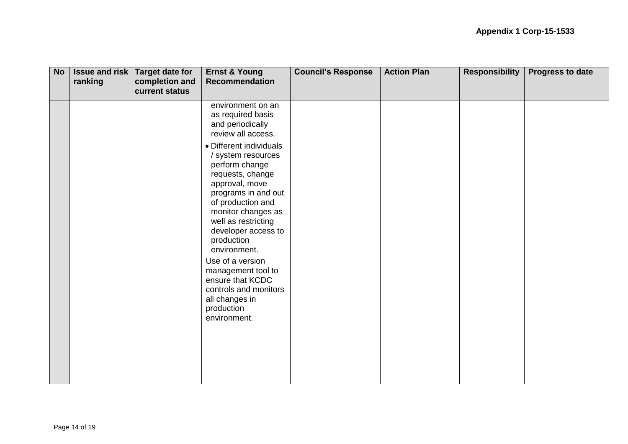| <b>No</b> | ranking | Issue and risk Target date for<br>completion and<br>current status | <b>Ernst &amp; Young</b><br>Recommendation                                                                                                                                                                                                                                                                                                                                                 | <b>Council's Response</b> | <b>Action Plan</b> | <b>Responsibility</b> | <b>Progress to date</b> |
|-----------|---------|--------------------------------------------------------------------|--------------------------------------------------------------------------------------------------------------------------------------------------------------------------------------------------------------------------------------------------------------------------------------------------------------------------------------------------------------------------------------------|---------------------------|--------------------|-----------------------|-------------------------|
|           |         |                                                                    | environment on an<br>as required basis<br>and periodically<br>review all access.                                                                                                                                                                                                                                                                                                           |                           |                    |                       |                         |
|           |         |                                                                    | • Different individuals<br>/ system resources<br>perform change<br>requests, change<br>approval, move<br>programs in and out<br>of production and<br>monitor changes as<br>well as restricting<br>developer access to<br>production<br>environment.<br>Use of a version<br>management tool to<br>ensure that KCDC<br>controls and monitors<br>all changes in<br>production<br>environment. |                           |                    |                       |                         |
|           |         |                                                                    |                                                                                                                                                                                                                                                                                                                                                                                            |                           |                    |                       |                         |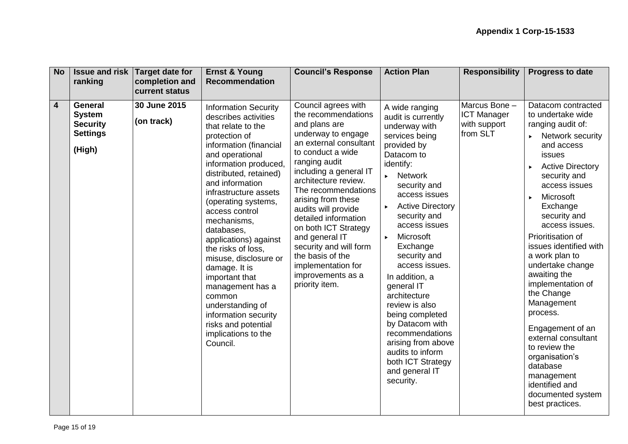| <b>No</b> | <b>Issue and risk</b><br>ranking                                                | <b>Target date for</b><br>completion and<br>current status | <b>Ernst &amp; Young</b><br><b>Recommendation</b>                                                                                                                                                                                                                                                                                                                                                                                                                                                                                                           | <b>Council's Response</b>                                                                                                                                                                                                                                                                                                                                                                                                                            | <b>Action Plan</b>                                                                                                                                                                                                                                                                                                                                                                                                                                                                                                                                                     | <b>Responsibility</b>                                           | Progress to date                                                                                                                                                                                                                                                                                                                                                                                                                                                                                                                                                                |
|-----------|---------------------------------------------------------------------------------|------------------------------------------------------------|-------------------------------------------------------------------------------------------------------------------------------------------------------------------------------------------------------------------------------------------------------------------------------------------------------------------------------------------------------------------------------------------------------------------------------------------------------------------------------------------------------------------------------------------------------------|------------------------------------------------------------------------------------------------------------------------------------------------------------------------------------------------------------------------------------------------------------------------------------------------------------------------------------------------------------------------------------------------------------------------------------------------------|------------------------------------------------------------------------------------------------------------------------------------------------------------------------------------------------------------------------------------------------------------------------------------------------------------------------------------------------------------------------------------------------------------------------------------------------------------------------------------------------------------------------------------------------------------------------|-----------------------------------------------------------------|---------------------------------------------------------------------------------------------------------------------------------------------------------------------------------------------------------------------------------------------------------------------------------------------------------------------------------------------------------------------------------------------------------------------------------------------------------------------------------------------------------------------------------------------------------------------------------|
| 4         | <b>General</b><br><b>System</b><br><b>Security</b><br><b>Settings</b><br>(High) | 30 June 2015<br>(on track)                                 | <b>Information Security</b><br>describes activities<br>that relate to the<br>protection of<br>information (financial<br>and operational<br>information produced,<br>distributed, retained)<br>and information<br>infrastructure assets<br>(operating systems,<br>access control<br>mechanisms,<br>databases,<br>applications) against<br>the risks of loss,<br>misuse, disclosure or<br>damage. It is<br>important that<br>management has a<br>common<br>understanding of<br>information security<br>risks and potential<br>implications to the<br>Council. | Council agrees with<br>the recommendations<br>and plans are<br>underway to engage<br>an external consultant<br>to conduct a wide<br>ranging audit<br>including a general IT<br>architecture review.<br>The recommendations<br>arising from these<br>audits will provide<br>detailed information<br>on both ICT Strategy<br>and general IT<br>security and will form<br>the basis of the<br>implementation for<br>improvements as a<br>priority item. | A wide ranging<br>audit is currently<br>underway with<br>services being<br>provided by<br>Datacom to<br>identify:<br><b>Network</b><br>$\blacktriangleright$<br>security and<br>access issues<br><b>Active Directory</b><br>security and<br>access issues<br>Microsoft<br>$\blacktriangleright$<br>Exchange<br>security and<br>access issues.<br>In addition, a<br>general IT<br>architecture<br>review is also<br>being completed<br>by Datacom with<br>recommendations<br>arising from above<br>audits to inform<br>both ICT Strategy<br>and general IT<br>security. | Marcus Bone -<br><b>ICT Manager</b><br>with support<br>from SLT | Datacom contracted<br>to undertake wide<br>ranging audit of:<br>Network security<br>and access<br>issues<br><b>Active Directory</b><br>×.<br>security and<br>access issues<br>Microsoft<br>×.<br>Exchange<br>security and<br>access issues.<br>Prioritisation of<br>issues identified with<br>a work plan to<br>undertake change<br>awaiting the<br>implementation of<br>the Change<br>Management<br>process.<br>Engagement of an<br>external consultant<br>to review the<br>organisation's<br>database<br>management<br>identified and<br>documented system<br>best practices. |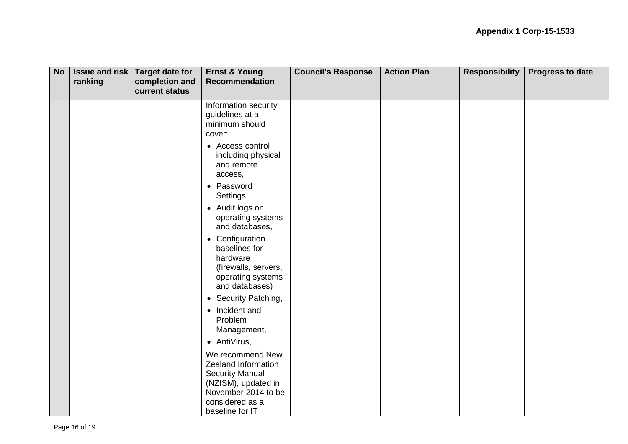| <b>No</b> | ranking | Issue and risk Target date for<br>completion and<br>current status | <b>Ernst &amp; Young</b><br><b>Recommendation</b>                                                                                                     | <b>Council's Response</b> | <b>Action Plan</b> | <b>Responsibility</b> | Progress to date |
|-----------|---------|--------------------------------------------------------------------|-------------------------------------------------------------------------------------------------------------------------------------------------------|---------------------------|--------------------|-----------------------|------------------|
|           |         |                                                                    | Information security<br>guidelines at a<br>minimum should<br>cover:                                                                                   |                           |                    |                       |                  |
|           |         |                                                                    | • Access control<br>including physical<br>and remote<br>access,                                                                                       |                           |                    |                       |                  |
|           |         |                                                                    | • Password<br>Settings,                                                                                                                               |                           |                    |                       |                  |
|           |         |                                                                    | • Audit logs on<br>operating systems<br>and databases,                                                                                                |                           |                    |                       |                  |
|           |         |                                                                    | • Configuration<br>baselines for<br>hardware<br>(firewalls, servers,<br>operating systems<br>and databases)                                           |                           |                    |                       |                  |
|           |         |                                                                    | • Security Patching,                                                                                                                                  |                           |                    |                       |                  |
|           |         |                                                                    | • Incident and<br>Problem<br>Management,                                                                                                              |                           |                    |                       |                  |
|           |         |                                                                    | • AntiVirus,                                                                                                                                          |                           |                    |                       |                  |
|           |         |                                                                    | We recommend New<br>Zealand Information<br><b>Security Manual</b><br>(NZISM), updated in<br>November 2014 to be<br>considered as a<br>baseline for IT |                           |                    |                       |                  |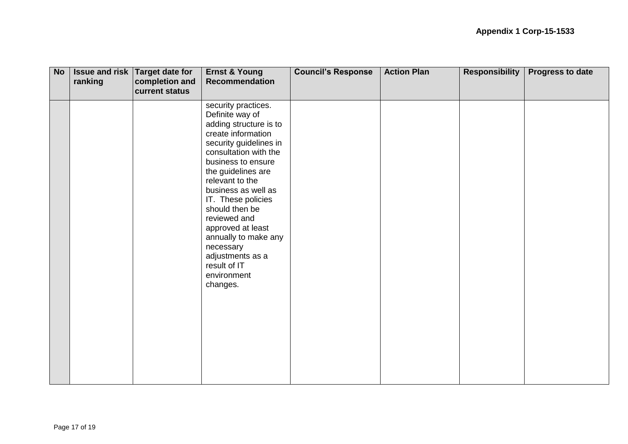| <b>No</b> | ranking | Issue and risk Target date for<br>completion and<br>current status | <b>Ernst &amp; Young</b><br>Recommendation                                                                                                                                                                                                                                                                                                                                                                       | <b>Council's Response</b> | <b>Action Plan</b> | <b>Responsibility</b> | Progress to date |
|-----------|---------|--------------------------------------------------------------------|------------------------------------------------------------------------------------------------------------------------------------------------------------------------------------------------------------------------------------------------------------------------------------------------------------------------------------------------------------------------------------------------------------------|---------------------------|--------------------|-----------------------|------------------|
|           |         |                                                                    | security practices.<br>Definite way of<br>adding structure is to<br>create information<br>security guidelines in<br>consultation with the<br>business to ensure<br>the guidelines are<br>relevant to the<br>business as well as<br>IT. These policies<br>should then be<br>reviewed and<br>approved at least<br>annually to make any<br>necessary<br>adjustments as a<br>result of IT<br>environment<br>changes. |                           |                    |                       |                  |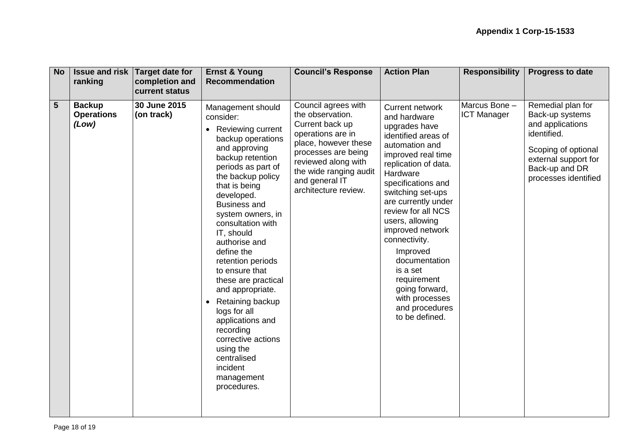| <b>No</b>      | ranking                                     | <b>Issue and risk Target date for</b><br>completion and<br><b>current status</b> | <b>Ernst &amp; Young</b><br><b>Recommendation</b>                                                                                                                                                                                                                                                                                                                                                                                                                                                                                                                                 | <b>Council's Response</b>                                                                                                                                                                                                 | <b>Action Plan</b>                                                                                                                                                                                                                                                                                                                                                                                                                         | <b>Responsibility</b>               | <b>Progress to date</b>                                                                                                                                          |
|----------------|---------------------------------------------|----------------------------------------------------------------------------------|-----------------------------------------------------------------------------------------------------------------------------------------------------------------------------------------------------------------------------------------------------------------------------------------------------------------------------------------------------------------------------------------------------------------------------------------------------------------------------------------------------------------------------------------------------------------------------------|---------------------------------------------------------------------------------------------------------------------------------------------------------------------------------------------------------------------------|--------------------------------------------------------------------------------------------------------------------------------------------------------------------------------------------------------------------------------------------------------------------------------------------------------------------------------------------------------------------------------------------------------------------------------------------|-------------------------------------|------------------------------------------------------------------------------------------------------------------------------------------------------------------|
| $5\phantom{1}$ | <b>Backup</b><br><b>Operations</b><br>(Low) | 30 June 2015<br>(on track)                                                       | Management should<br>consider:<br>Reviewing current<br>$\bullet$<br>backup operations<br>and approving<br>backup retention<br>periods as part of<br>the backup policy<br>that is being<br>developed.<br><b>Business and</b><br>system owners, in<br>consultation with<br>IT, should<br>authorise and<br>define the<br>retention periods<br>to ensure that<br>these are practical<br>and appropriate.<br>Retaining backup<br>$\bullet$<br>logs for all<br>applications and<br>recording<br>corrective actions<br>using the<br>centralised<br>incident<br>management<br>procedures. | Council agrees with<br>the observation.<br>Current back up<br>operations are in<br>place, however these<br>processes are being<br>reviewed along with<br>the wide ranging audit<br>and general IT<br>architecture review. | <b>Current network</b><br>and hardware<br>upgrades have<br>identified areas of<br>automation and<br>improved real time<br>replication of data.<br>Hardware<br>specifications and<br>switching set-ups<br>are currently under<br>review for all NCS<br>users, allowing<br>improved network<br>connectivity.<br>Improved<br>documentation<br>is a set<br>requirement<br>going forward,<br>with processes<br>and procedures<br>to be defined. | Marcus Bone -<br><b>ICT Manager</b> | Remedial plan for<br>Back-up systems<br>and applications<br>identified.<br>Scoping of optional<br>external support for<br>Back-up and DR<br>processes identified |